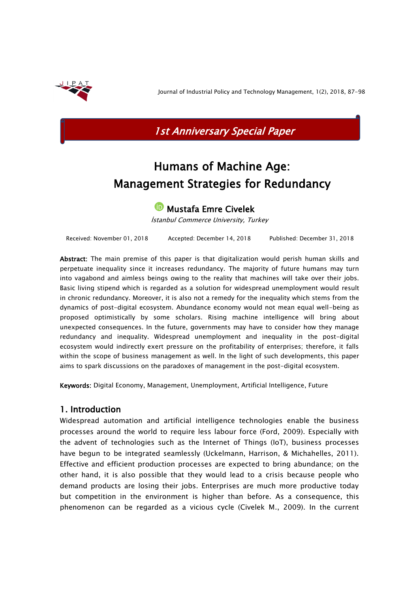

Journal of Industrial Policy and Technology Management, 1(2), 2018, 87-98



# Humans of Machine Age: Management Strategies for Redundancy

**D** Mustafa Emre Civelek

İstanbul Commerce University, Turkey

Received: November 01, 2018 Accepted: December 14, 2018 Published: December 31, 2018

Abstract: The main premise of this paper is that digitalization would perish human skills and perpetuate inequality since it increases redundancy. The majority of future humans may turn into vagabond and aimless beings owing to the reality that machines will take over their jobs. Basic living stipend which is regarded as a solution for widespread unemployment would result in chronic redundancy. Moreover, it is also not a remedy for the inequality which stems from the dynamics of post-digital ecosystem. Abundance economy would not mean equal well-being as proposed optimistically by some scholars. Rising machine intelligence will bring about unexpected consequences. In the future, governments may have to consider how they manage redundancy and inequality. Widespread unemployment and inequality in the post-digital ecosystem would indirectly exert pressure on the profitability of enterprises; therefore, it falls within the scope of business management as well. In the light of such developments, this paper aims to spark discussions on the paradoxes of management in the post-digital ecosystem.

Keywords: Digital Economy, Management, Unemployment, Artificial Intelligence, Future

# 1. Introduction

Widespread automation and artificial intelligence technologies enable the business processes around the world to require less labour force (Ford, 2009). Especially with the advent of technologies such as the Internet of Things (IoT), business processes have begun to be integrated seamlessly (Uckelmann, Harrison, & Michahelles, 2011). Effective and efficient production processes are expected to bring abundance; on the other hand, it is also possible that they would lead to a crisis because people who demand products are losing their jobs. Enterprises are much more productive today but competition in the environment is higher than before. As a consequence, this phenomenon can be regarded as a vicious cycle (Civelek M., 2009). In the current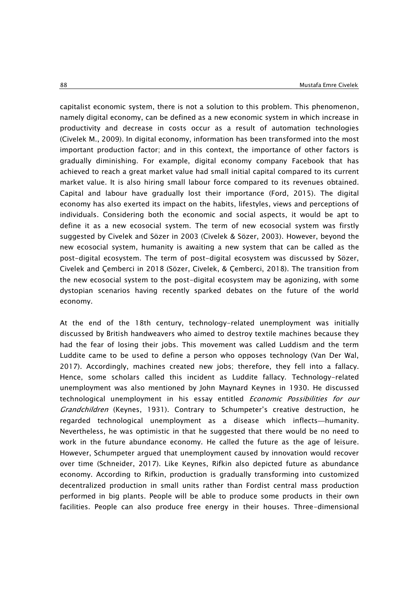capitalist economic system, there is not a solution to this problem. This phenomenon, namely digital economy, can be defined as a new economic system in which increase in productivity and decrease in costs occur as a result of automation technologies (Civelek M., 2009). In digital economy, information has been transformed into the most important production factor; and in this context, the importance of other factors is gradually diminishing. For example, digital economy company Facebook that has achieved to reach a great market value had small initial capital compared to its current market value. It is also hiring small labour force compared to its revenues obtained. Capital and labour have gradually lost their importance (Ford, 2015). The digital economy has also exerted its impact on the habits, lifestyles, views and perceptions of individuals. Considering both the economic and social aspects, it would be apt to define it as a new ecosocial system. The term of new ecosocial system was firstly suggested by Civelek and Sözer in 2003 (Civelek & Sözer, 2003). However, beyond the new ecosocial system, humanity is awaiting a new system that can be called as the post-digital ecosystem. The term of post-digital ecosystem was discussed by Sözer, Civelek and Çemberci in 2018 (Sözer, Civelek, & Çemberci, 2018). The transition from the new ecosocial system to the post-digital ecosystem may be agonizing, with some dystopian scenarios having recently sparked debates on the future of the world economy.

At the end of the 18th century, technology-related unemployment was initially discussed by British handweavers who aimed to destroy textile machines because they had the fear of losing their jobs. This movement was called Luddism and the term Luddite came to be used to define a person who opposes technology (Van Der Wal, 2017). Accordingly, machines created new jobs; therefore, they fell into a fallacy. Hence, some scholars called this incident as Luddite fallacy. Technology-related unemployment was also mentioned by John Maynard Keynes in 1930. He discussed technological unemployment in his essay entitled *Economic Possibilities for our* Grandchildren (Keynes, 1931). Contrary to Schumpeter's creative destruction, he regarded technological unemployment as a disease which inflects—humanity. Nevertheless, he was optimistic in that he suggested that there would be no need to work in the future abundance economy. He called the future as the age of leisure. However, Schumpeter argued that unemployment caused by innovation would recover over time (Schneider, 2017). Like Keynes, Rifkin also depicted future as abundance economy. According to Rifkin, production is gradually transforming into customized decentralized production in small units rather than Fordist central mass production performed in big plants. People will be able to produce some products in their own facilities. People can also produce free energy in their houses. Three-dimensional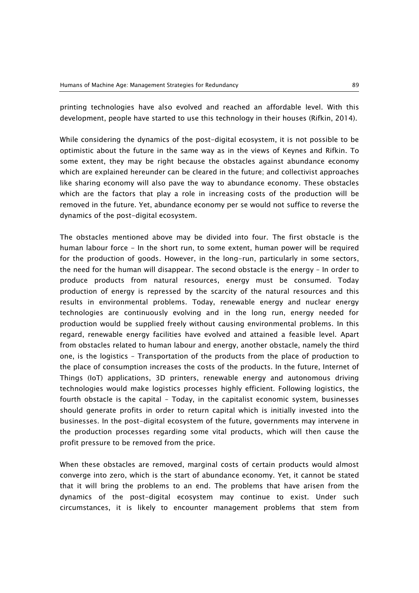printing technologies have also evolved and reached an affordable level. With this development, people have started to use this technology in their houses (Rifkin, 2014).

While considering the dynamics of the post-digital ecosystem, it is not possible to be optimistic about the future in the same way as in the views of Keynes and Rifkin. To some extent, they may be right because the obstacles against abundance economy which are explained hereunder can be cleared in the future; and collectivist approaches like sharing economy will also pave the way to abundance economy. These obstacles which are the factors that play a role in increasing costs of the production will be removed in the future. Yet, abundance economy per se would not suffice to reverse the dynamics of the post-digital ecosystem.

The obstacles mentioned above may be divided into four. The first obstacle is the human labour force - In the short run, to some extent, human power will be required for the production of goods. However, in the long-run, particularly in some sectors, the need for the human will disappear. The second obstacle is the energy – In order to produce products from natural resources, energy must be consumed. Today production of energy is repressed by the scarcity of the natural resources and this results in environmental problems. Today, renewable energy and nuclear energy technologies are continuously evolving and in the long run, energy needed for production would be supplied freely without causing environmental problems. In this regard, renewable energy facilities have evolved and attained a feasible level. Apart from obstacles related to human labour and energy, another obstacle, namely the third one, is the logistics – Transportation of the products from the place of production to the place of consumption increases the costs of the products. In the future, Internet of Things (IoT) applications, 3D printers, renewable energy and autonomous driving technologies would make logistics processes highly efficient. Following logistics, the fourth obstacle is the capital – Today, in the capitalist economic system, businesses should generate profits in order to return capital which is initially invested into the businesses. In the post-digital ecosystem of the future, governments may intervene in the production processes regarding some vital products, which will then cause the profit pressure to be removed from the price.

When these obstacles are removed, marginal costs of certain products would almost converge into zero, which is the start of abundance economy. Yet, it cannot be stated that it will bring the problems to an end. The problems that have arisen from the dynamics of the post-digital ecosystem may continue to exist. Under such circumstances, it is likely to encounter management problems that stem from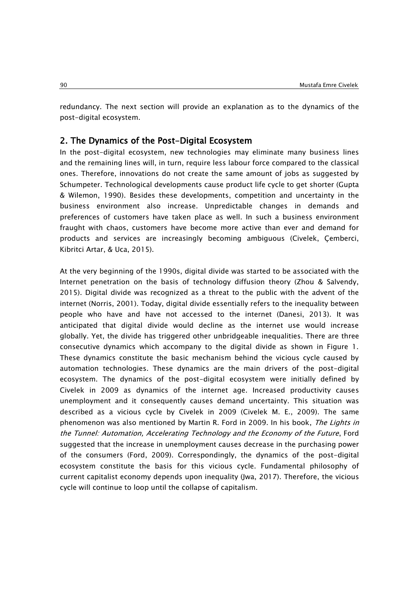redundancy. The next section will provide an explanation as to the dynamics of the post-digital ecosystem.

## 2. The Dynamics of the Post-Digital Ecosystem

In the post-digital ecosystem, new technologies may eliminate many business lines and the remaining lines will, in turn, require less labour force compared to the classical ones. Therefore, innovations do not create the same amount of jobs as suggested by Schumpeter. Technological developments cause product life cycle to get shorter (Gupta & Wilemon, 1990). Besides these developments, competition and uncertainty in the business environment also increase. Unpredictable changes in demands and preferences of customers have taken place as well. In such a business environment fraught with chaos, customers have become more active than ever and demand for products and services are increasingly becoming ambiguous (Civelek, Çemberci, Kibritci Artar, & Uca, 2015).

At the very beginning of the 1990s, digital divide was started to be associated with the Internet penetration on the basis of technology diffusion theory (Zhou & Salvendy, 2015). Digital divide was recognized as a threat to the public with the advent of the internet (Norris, 2001). Today, digital divide essentially refers to the inequality between people who have and have not accessed to the internet (Danesi, 2013). It was anticipated that digital divide would decline as the internet use would increase globally. Yet, the divide has triggered other unbridgeable inequalities. There are three consecutive dynamics which accompany to the digital divide as shown in Figure 1. These dynamics constitute the basic mechanism behind the vicious cycle caused by automation technologies. These dynamics are the main drivers of the post-digital ecosystem. The dynamics of the post-digital ecosystem were initially defined by Civelek in 2009 as dynamics of the internet age. Increased productivity causes unemployment and it consequently causes demand uncertainty. This situation was described as a vicious cycle by Civelek in 2009 (Civelek M. E., 2009). The same phenomenon was also mentioned by Martin R. Ford in 2009. In his book, The Lights in the Tunnel: Automation, Accelerating Technology and the Economy of the Future, Ford suggested that the increase in unemployment causes decrease in the purchasing power of the consumers (Ford, 2009). Correspondingly, the dynamics of the post-digital ecosystem constitute the basis for this vicious cycle. Fundamental philosophy of current capitalist economy depends upon inequality (Jwa, 2017). Therefore, the vicious cycle will continue to loop until the collapse of capitalism.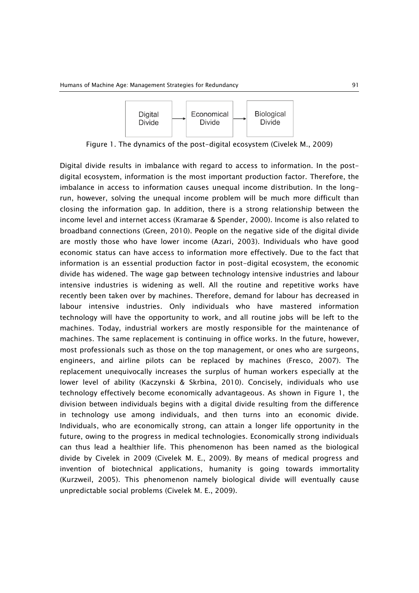

Figure 1. The dynamics of the post-digital ecosystem (Civelek M., 2009)

Digital divide results in imbalance with regard to access to information. In the postdigital ecosystem, information is the most important production factor. Therefore, the imbalance in access to information causes unequal income distribution. In the longrun, however, solving the unequal income problem will be much more difficult than closing the information gap. In addition, there is a strong relationship between the income level and internet access (Kramarae & Spender, 2000). Income is also related to broadband connections (Green, 2010). People on the negative side of the digital divide are mostly those who have lower income (Azari, 2003). Individuals who have good economic status can have access to information more effectively. Due to the fact that information is an essential production factor in post-digital ecosystem, the economic divide has widened. The wage gap between technology intensive industries and labour intensive industries is widening as well. All the routine and repetitive works have recently been taken over by machines. Therefore, demand for labour has decreased in labour intensive industries. Only individuals who have mastered information technology will have the opportunity to work, and all routine jobs will be left to the machines. Today, industrial workers are mostly responsible for the maintenance of machines. The same replacement is continuing in office works. In the future, however, most professionals such as those on the top management, or ones who are surgeons, engineers, and airline pilots can be replaced by machines (Fresco, 2007). The replacement unequivocally increases the surplus of human workers especially at the lower level of ability (Kaczynski & Skrbina, 2010). Concisely, individuals who use technology effectively become economically advantageous. As shown in Figure 1, the division between individuals begins with a digital divide resulting from the difference in technology use among individuals, and then turns into an economic divide. Individuals, who are economically strong, can attain a longer life opportunity in the future, owing to the progress in medical technologies. Economically strong individuals can thus lead a healthier life. This phenomenon has been named as the biological divide by Civelek in 2009 (Civelek M. E., 2009). By means of medical progress and invention of biotechnical applications, humanity is going towards immortality (Kurzweil, 2005). This phenomenon namely biological divide will eventually cause unpredictable social problems (Civelek M. E., 2009).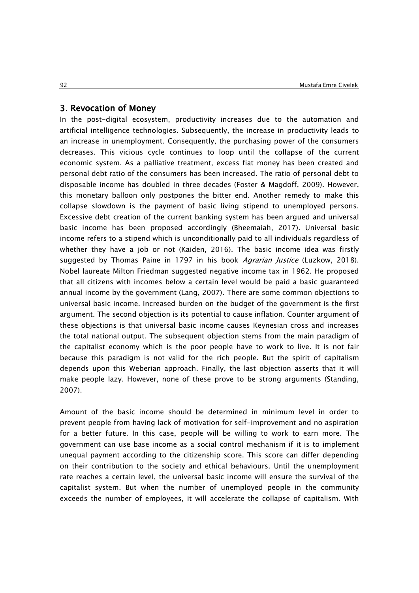#### 3. Revocation of Money

In the post-digital ecosystem, productivity increases due to the automation and artificial intelligence technologies. Subsequently, the increase in productivity leads to an increase in unemployment. Consequently, the purchasing power of the consumers decreases. This vicious cycle continues to loop until the collapse of the current economic system. As a palliative treatment, excess fiat money has been created and personal debt ratio of the consumers has been increased. The ratio of personal debt to disposable income has doubled in three decades (Foster & Magdoff, 2009). However, this monetary balloon only postpones the bitter end. Another remedy to make this collapse slowdown is the payment of basic living stipend to unemployed persons. Excessive debt creation of the current banking system has been argued and universal basic income has been proposed accordingly (Bheemaiah, 2017). Universal basic income refers to a stipend which is unconditionally paid to all individuals regardless of whether they have a job or not (Kaiden, 2016). The basic income idea was firstly suggested by Thomas Paine in 1797 in his book Agrarian Justice (Luzkow, 2018). Nobel laureate Milton Friedman suggested negative income tax in 1962. He proposed that all citizens with incomes below a certain level would be paid a basic guaranteed annual income by the government (Lang, 2007). There are some common objections to universal basic income. Increased burden on the budget of the government is the first argument. The second objection is its potential to cause inflation. Counter argument of these objections is that universal basic income causes Keynesian cross and increases the total national output. The subsequent objection stems from the main paradigm of the capitalist economy which is the poor people have to work to live. It is not fair because this paradigm is not valid for the rich people. But the spirit of capitalism depends upon this Weberian approach. Finally, the last objection asserts that it will make people lazy. However, none of these prove to be strong arguments (Standing, 2007).

Amount of the basic income should be determined in minimum level in order to prevent people from having lack of motivation for self-improvement and no aspiration for a better future. In this case, people will be willing to work to earn more. The government can use base income as a social control mechanism if it is to implement unequal payment according to the citizenship score. This score can differ depending on their contribution to the society and ethical behaviours. Until the unemployment rate reaches a certain level, the universal basic income will ensure the survival of the capitalist system. But when the number of unemployed people in the community exceeds the number of employees, it will accelerate the collapse of capitalism. With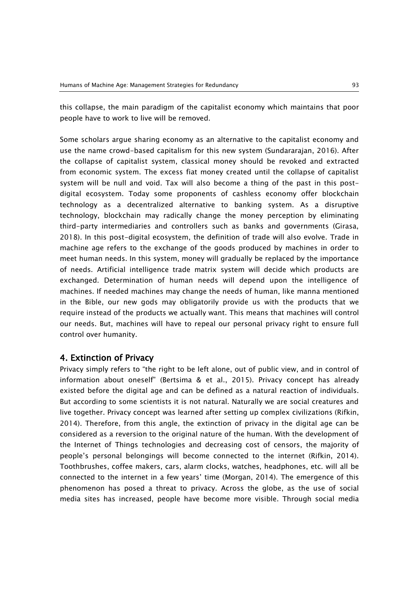this collapse, the main paradigm of the capitalist economy which maintains that poor people have to work to live will be removed.

Some scholars argue sharing economy as an alternative to the capitalist economy and use the name crowd-based capitalism for this new system (Sundararajan, 2016). After the collapse of capitalist system, classical money should be revoked and extracted from economic system. The excess fiat money created until the collapse of capitalist system will be null and void. Tax will also become a thing of the past in this postdigital ecosystem. Today some proponents of cashless economy offer blockchain technology as a decentralized alternative to banking system. As a disruptive technology, blockchain may radically change the money perception by eliminating third-party intermediaries and controllers such as banks and governments (Girasa, 2018). In this post-digital ecosystem, the definition of trade will also evolve. Trade in machine age refers to the exchange of the goods produced by machines in order to meet human needs. In this system, money will gradually be replaced by the importance of needs. Artificial intelligence trade matrix system will decide which products are exchanged. Determination of human needs will depend upon the intelligence of machines. If needed machines may change the needs of human, like manna mentioned in the Bible, our new gods may obligatorily provide us with the products that we require instead of the products we actually want. This means that machines will control our needs. But, machines will have to repeal our personal privacy right to ensure full control over humanity.

## 4. Extinction of Privacy

Privacy simply refers to "the right to be left alone, out of public view, and in control of information about oneself" (Bertsima & et al., 2015). Privacy concept has already existed before the digital age and can be defined as a natural reaction of individuals. But according to some scientists it is not natural. Naturally we are social creatures and live together. Privacy concept was learned after setting up complex civilizations (Rifkin, 2014). Therefore, from this angle, the extinction of privacy in the digital age can be considered as a reversion to the original nature of the human. With the development of the Internet of Things technologies and decreasing cost of censors, the majority of people's personal belongings will become connected to the internet (Rifkin, 2014). Toothbrushes, coffee makers, cars, alarm clocks, watches, headphones, etc. will all be connected to the internet in a few years' time (Morgan, 2014). The emergence of this phenomenon has posed a threat to privacy. Across the globe, as the use of social media sites has increased, people have become more visible. Through social media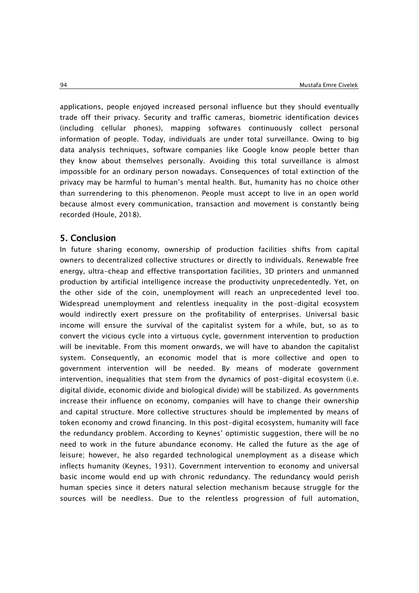applications, people enjoyed increased personal influence but they should eventually trade off their privacy. Security and traffic cameras, biometric identification devices (including cellular phones), mapping softwares continuously collect personal information of people. Today, individuals are under total surveillance. Owing to big data analysis techniques, software companies like Google know people better than they know about themselves personally. Avoiding this total surveillance is almost impossible for an ordinary person nowadays. Consequences of total extinction of the privacy may be harmful to human's mental health. But, humanity has no choice other than surrendering to this phenomenon. People must accept to live in an open world because almost every communication, transaction and movement is constantly being recorded (Houle, 2018).

# 5. Conclusion

In future sharing economy, ownership of production facilities shifts from capital owners to decentralized collective structures or directly to individuals. Renewable free energy, ultra-cheap and effective transportation facilities, 3D printers and unmanned production by artificial intelligence increase the productivity unprecedentedly. Yet, on the other side of the coin, unemployment will reach an unprecedented level too. Widespread unemployment and relentless inequality in the post-digital ecosystem would indirectly exert pressure on the profitability of enterprises. Universal basic income will ensure the survival of the capitalist system for a while, but, so as to convert the vicious cycle into a virtuous cycle, government intervention to production will be inevitable. From this moment onwards, we will have to abandon the capitalist system. Consequently, an economic model that is more collective and open to government intervention will be needed. By means of moderate government intervention, inequalities that stem from the dynamics of post-digital ecosystem (i.e. digital divide, economic divide and biological divide) will be stabilized. As governments increase their influence on economy, companies will have to change their ownership and capital structure. More collective structures should be implemented by means of token economy and crowd financing. In this post-digital ecosystem, humanity will face the redundancy problem. According to Keynes' optimistic suggestion, there will be no need to work in the future abundance economy. He called the future as the age of leisure; however, he also regarded technological unemployment as a disease which inflects humanity (Keynes, 1931). Government intervention to economy and universal basic income would end up with chronic redundancy. The redundancy would perish human species since it deters natural selection mechanism because struggle for the sources will be needless. Due to the relentless progression of full automation,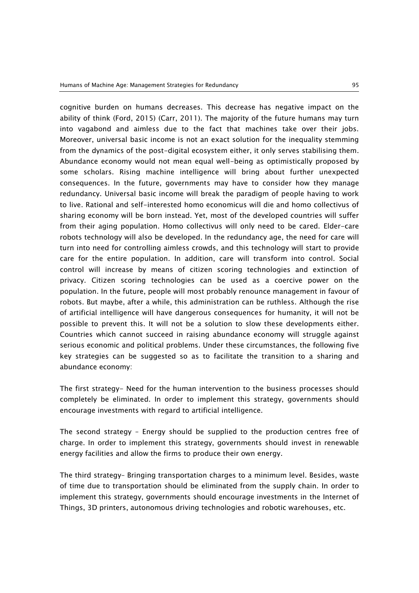cognitive burden on humans decreases. This decrease has negative impact on the ability of think (Ford, 2015) (Carr, 2011). The majority of the future humans may turn into vagabond and aimless due to the fact that machines take over their jobs. Moreover, universal basic income is not an exact solution for the inequality stemming from the dynamics of the post-digital ecosystem either, it only serves stabilising them. Abundance economy would not mean equal well-being as optimistically proposed by some scholars. Rising machine intelligence will bring about further unexpected consequences. In the future, governments may have to consider how they manage redundancy. Universal basic income will break the paradigm of people having to work to live. Rational and self-interested homo economicus will die and homo collectivus of sharing economy will be born instead. Yet, most of the developed countries will suffer from their aging population. Homo collectivus will only need to be cared. Elder-care robots technology will also be developed. In the redundancy age, the need for care will turn into need for controlling aimless crowds, and this technology will start to provide care for the entire population. In addition, care will transform into control. Social control will increase by means of citizen scoring technologies and extinction of privacy. Citizen scoring technologies can be used as a coercive power on the population. In the future, people will most probably renounce management in favour of robots. But maybe, after a while, this administration can be ruthless. Although the rise of artificial intelligence will have dangerous consequences for humanity, it will not be possible to prevent this. It will not be a solution to slow these developments either. Countries which cannot succeed in raising abundance economy will struggle against serious economic and political problems. Under these circumstances, the following five key strategies can be suggested so as to facilitate the transition to a sharing and abundance economy:

The first strategy- Need for the human intervention to the business processes should completely be eliminated. In order to implement this strategy, governments should encourage investments with regard to artificial intelligence.

The second strategy – Energy should be supplied to the production centres free of charge. In order to implement this strategy, governments should invest in renewable energy facilities and allow the firms to produce their own energy.

The third strategy– Bringing transportation charges to a minimum level. Besides, waste of time due to transportation should be eliminated from the supply chain. In order to implement this strategy, governments should encourage investments in the Internet of Things, 3D printers, autonomous driving technologies and robotic warehouses, etc.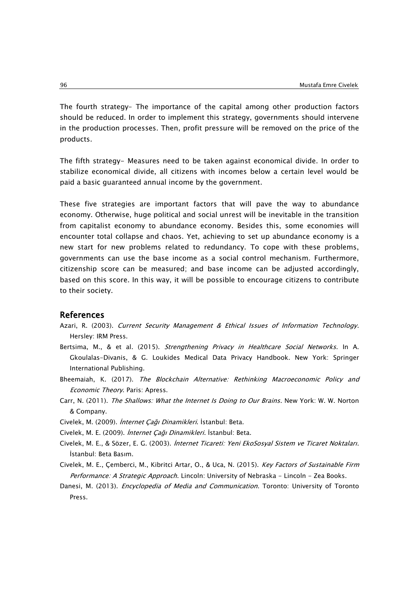The fourth strategy– The importance of the capital among other production factors should be reduced. In order to implement this strategy, governments should intervene in the production processes. Then, profit pressure will be removed on the price of the products.

The fifth strategy- Measures need to be taken against economical divide. In order to stabilize economical divide, all citizens with incomes below a certain level would be paid a basic guaranteed annual income by the government.

These five strategies are important factors that will pave the way to abundance economy. Otherwise, huge political and social unrest will be inevitable in the transition from capitalist economy to abundance economy. Besides this, some economies will encounter total collapse and chaos. Yet, achieving to set up abundance economy is a new start for new problems related to redundancy. To cope with these problems, governments can use the base income as a social control mechanism. Furthermore, citizenship score can be measured; and base income can be adjusted accordingly, based on this score. In this way, it will be possible to encourage citizens to contribute to their society.

#### References

- Azari, R. (2003). Current Security Management & Ethical Issues of Information Technology. Hersley: IRM Press.
- Bertsima, M., & et al. (2015). Strengthening Privacy in Healthcare Social Networks. In A. Gkoulalas-Divanis, & G. Loukides Medical Data Privacy Handbook. New York: Springer International Publishing.
- Bheemaiah, K. (2017). The Blockchain Alternative: Rethinking Macroeconomic Policy and Economic Theory. Paris: Apress.
- Carr, N. (2011). The Shallows: What the Internet Is Doing to Our Brains. New York: W. W. Norton & Company.
- Civelek, M. (2009). İnternet Çağı Dinamikleri. İstanbul: Beta.
- Civelek, M. E. (2009). İnternet Çağı Dinamikleri. İstanbul: Beta.
- Civelek, M. E., & Sözer, E. G. (2003). İnternet Ticareti: Yeni EkoSosyal Sistem ve Ticaret Noktaları. İstanbul: Beta Basım.
- Civelek, M. E., Çemberci, M., Kibritci Artar, O., & Uca, N. (2015). Key Factors of Sustainable Firm Performance: A Strategic Approach. Lincoln: University of Nebraska - Lincoln - Zea Books.
- Danesi, M. (2013). *Encyclopedia of Media and Communication*. Toronto: University of Toronto Press.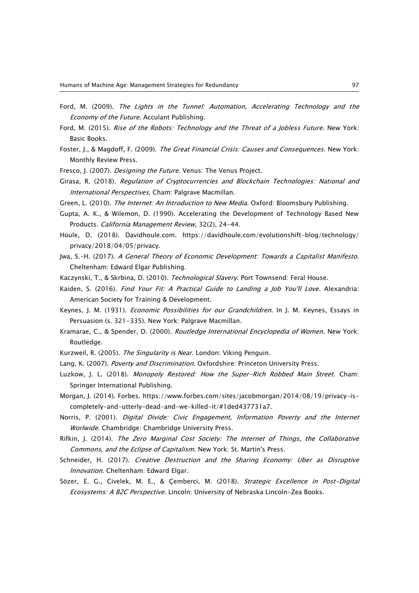- Ford, M. (2009). The Lights in the Tunnel: Automation, Accelerating Technology and the Economy of the Future. Acculant Publishing.
- Ford, M. (2015). Rise of the Robots: Technology and the Threat of a Jobless Future. New York: Basic Books.
- Foster, J., & Magdoff, F. (2009). The Great Financial Crisis: Causes and Consequences. New York: Monthly Review Press.
- Fresco, J. (2007). Designing the Future. Venus: The Venus Project.
- Girasa, R. (2018). Regulation of Cryptocurrencies and Blockchain Technologies: National and International Perspectives. Cham: Palgrave Macmillan.
- Green, L. (2010). The Internet: An Introduction to New Media. Oxford: Bloomsbury Publishing.
- Gupta, A. K., & Wilemon, D. (1990). Accelerating the Development of Technology Based New Products. California Management Review, 32(2), 24-44.
- Houle, D. (2018). Davidhoule.com. https://davidhoule.com/evolutionshift-blog/technology/ privacy/2018/04/05/privacy.
- Jwa, S.-H. (2017). A General Theory of Economic Development: Towards a Capitalist Manifesto. Cheltenham: Edward Elgar Publishing.
- Kaczynski, T., & Skrbina, D. (2010). Technological Slavery. Port Townsend: Feral House.
- Kaiden, S. (2016). Find Your Fit: A Practical Guide to Landing a Job You'll Love. Alexandria: American Society for Training & Development.
- Keynes, J. M. (1931). Economic Possibilities for our Grandchildren. In J. M. Keynes, Essays in Persuasion (s. 321-335). New York: Palgrave Macmillan.
- Kramarae, C., & Spender, D. (2000). Routledge International Encyclopedia of Women. New York: Routledge.
- Kurzweil, R. (2005). The Singularity is Near. London: Viking Penguin.
- Lang, K. (2007). Poverty and Discrimination. Oxfordshire: Princeton University Press.
- Luzkow, J. L. (2018). Monopoly Restored: How the Super-Rich Robbed Main Street. Cham: Springer International Publishing.
- Morgan, J. (2014). Forbes. https://www.forbes.com/sites/jacobmorgan/2014/08/19/privacy-iscompletely-and-utterly-dead-and-we-killed-it/#1ded437731a7.
- Norris, P. (2001). Digital Divide: Civic Engagement, Information Poverty and the Internet Worlwide. Chambridge: Chambridge University Press.
- Rifkin, J. (2014). The Zero Marginal Cost Society: The Internet of Things, the Collaborative Commons, and the Eclipse of Capitalism. New York: St. Martin's Press.
- Schneider, H. (2017). Creative Destruction and the Sharing Economy: Uber as Disruptive Innovation. Cheltenham: Edward Elgar.
- Sözer, E. G., Civelek, M. E., & Çemberci, M. (2018). Strategic Excellence in Post-Digital Ecosystems: A B2C Perspective. Lincoln: University of Nebraska Lincoln-Zea Books.